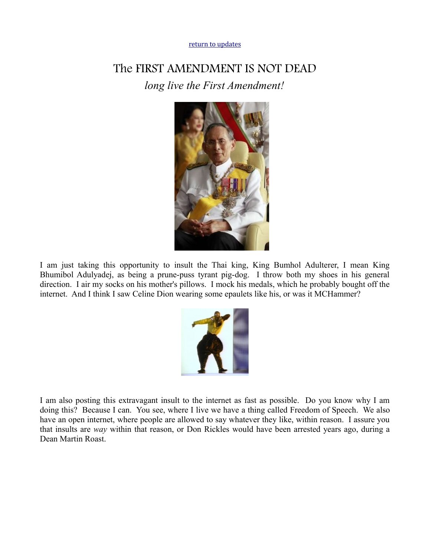[return to updates](http://mileswmathis.com/updates.html)

## The FIRST AMENDMENT IS NOT DEAD *long live the First Amendment!*



I am just taking this opportunity to insult the Thai king, King Bumhol Adulterer, I mean King Bhumibol Adulyadej, as being a prune-puss tyrant pig-dog. I throw both my shoes in his general direction. I air my socks on his mother's pillows. I mock his medals, which he probably bought off the internet. And I think I saw Celine Dion wearing some epaulets like his, or was it MCHammer?



I am also posting this extravagant insult to the internet as fast as possible. Do you know why I am doing this? Because I can. You see, where I live we have a thing called Freedom of Speech. We also have an open internet, where people are allowed to say whatever they like, within reason. I assure you that insults are *way* within that reason, or Don Rickles would have been arrested years ago, during a Dean Martin Roast.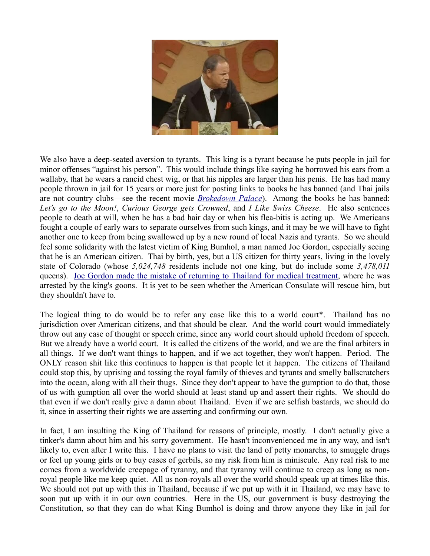

We also have a deep-seated aversion to tyrants. This king is a tyrant because he puts people in jail for minor offenses "against his person". This would include things like saying he borrowed his ears from a wallaby, that he wears a rancid chest wig, or that his nipples are larger than his penis. He has had many people thrown in jail for 15 years or more just for posting links to books he has banned (and Thai jails are not country clubs—see the recent movie *[Brokedown Palace](http://www.imdb.com/title/tt0120620/)*). Among the books he has banned: *Let's go to the Moon!*, *Curious George gets Crowned*, and *I Like Swiss Cheese*. He also sentences people to death at will, when he has a bad hair day or when his flea-bitis is acting up. We Americans fought a couple of early wars to separate ourselves from such kings, and it may be we will have to fight another one to keep from being swallowed up by a new round of local Nazis and tyrants. So we should feel some solidarity with the latest victim of King Bumhol, a man named Joe Gordon, especially seeing that he is an American citizen. Thai by birth, yes, but a US citizen for thirty years, living in the lovely state of Colorado (whose *5,024,748* residents include not one king, but do include some *3,478,011* queens). [Joe Gordon made the mistake of returning to Thailand for medical treatment,](http://www.huffingtonpost.com/2011/05/27/colorado-man-arrested-in-thailand_n_867982.html) where he was arrested by the king's goons. It is yet to be seen whether the American Consulate will rescue him, but they shouldn't have to.

The logical thing to do would be to refer any case like this to a world court\*. Thailand has no jurisdiction over American citizens, and that should be clear. And the world court would immediately throw out any case of thought or speech crime, since any world court should uphold freedom of speech. But we already have a world court. It is called the citizens of the world, and we are the final arbiters in all things. If we don't want things to happen, and if we act together, they won't happen. Period. The ONLY reason shit like this continues to happen is that people let it happen. The citizens of Thailand could stop this, by uprising and tossing the royal family of thieves and tyrants and smelly ballscratchers into the ocean, along with all their thugs. Since they don't appear to have the gumption to do that, those of us with gumption all over the world should at least stand up and assert their rights. We should do that even if we don't really give a damn about Thailand. Even if we are selfish bastards, we should do it, since in asserting their rights we are asserting and confirming our own.

In fact, I am insulting the King of Thailand for reasons of principle, mostly. I don't actually give a tinker's damn about him and his sorry government. He hasn't inconvenienced me in any way, and isn't likely to, even after I write this. I have no plans to visit the land of petty monarchs, to smuggle drugs or feel up young girls or to buy cases of gerbils, so my risk from him is miniscule. Any real risk to me comes from a worldwide creepage of tyranny, and that tyranny will continue to creep as long as nonroyal people like me keep quiet. All us non-royals all over the world should speak up at times like this. We should not put up with this in Thailand, because if we put up with it in Thailand, we may have to soon put up with it in our own countries. Here in the US, our government is busy destroying the Constitution, so that they can do what King Bumhol is doing and throw anyone they like in jail for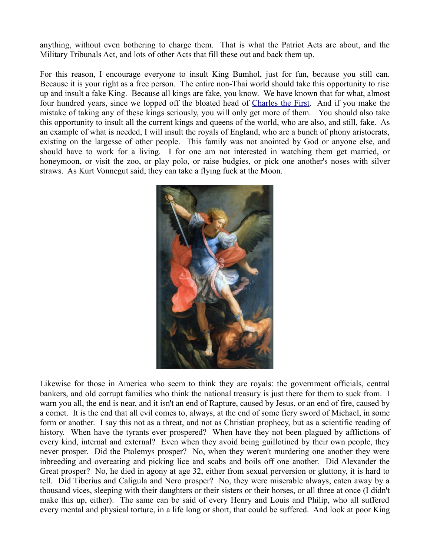anything, without even bothering to charge them. That is what the Patriot Acts are about, and the Military Tribunals Act, and lots of other Acts that fill these out and back them up.

For this reason, I encourage everyone to insult King Bumhol, just for fun, because you still can. Because it is your right as a free person. The entire non-Thai world should take this opportunity to rise up and insult a fake King. Because all kings are fake, you know. We have known that for what, almost four hundred years, since we lopped off the bloated head of [Charles the First.](http://en.wikipedia.org/wiki/Charles_I_of_England) And if you make the mistake of taking any of these kings seriously, you will only get more of them. You should also take this opportunity to insult all the current kings and queens of the world, who are also, and still, fake. As an example of what is needed, I will insult the royals of England, who are a bunch of phony aristocrats, existing on the largesse of other people. This family was not anointed by God or anyone else, and should have to work for a living. I for one am not interested in watching them get married, or honeymoon, or visit the zoo, or play polo, or raise budgies, or pick one another's noses with silver straws. As Kurt Vonnegut said, they can take a flying fuck at the Moon.



Likewise for those in America who seem to think they are royals: the government officials, central bankers, and old corrupt families who think the national treasury is just there for them to suck from. I warn you all, the end is near, and it isn't an end of Rapture, caused by Jesus, or an end of fire, caused by a comet. It is the end that all evil comes to, always, at the end of some fiery sword of Michael, in some form or another. I say this not as a threat, and not as Christian prophecy, but as a scientific reading of history. When have the tyrants ever prospered? When have they not been plagued by afflictions of every kind, internal and external? Even when they avoid being guillotined by their own people, they never prosper. Did the Ptolemys prosper? No, when they weren't murdering one another they were inbreeding and overeating and picking lice and scabs and boils off one another. Did Alexander the Great prosper? No, he died in agony at age 32, either from sexual perversion or gluttony, it is hard to tell. Did Tiberius and Caligula and Nero prosper? No, they were miserable always, eaten away by a thousand vices, sleeping with their daughters or their sisters or their horses, or all three at once (I didn't make this up, either). The same can be said of every Henry and Louis and Philip, who all suffered every mental and physical torture, in a life long or short, that could be suffered. And look at poor King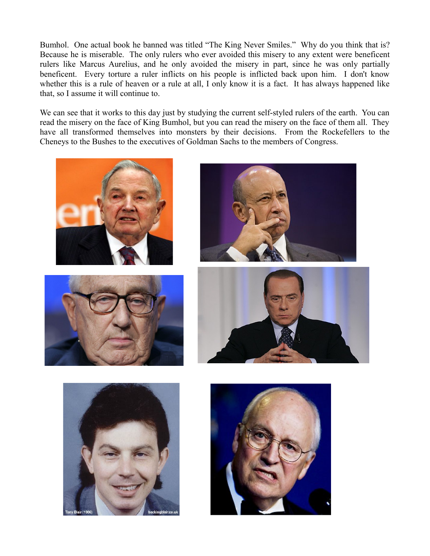Bumhol. One actual book he banned was titled "The King Never Smiles." Why do you think that is? Because he is miserable. The only rulers who ever avoided this misery to any extent were beneficent rulers like Marcus Aurelius, and he only avoided the misery in part, since he was only partially beneficent. Every torture a ruler inflicts on his people is inflicted back upon him. I don't know whether this is a rule of heaven or a rule at all, I only know it is a fact. It has always happened like that, so I assume it will continue to.

We can see that it works to this day just by studying the current self-styled rulers of the earth. You can read the misery on the face of King Bumhol, but you can read the misery on the face of them all. They have all transformed themselves into monsters by their decisions. From the Rockefellers to the Cheneys to the Bushes to the executives of Goldman Sachs to the members of Congress.











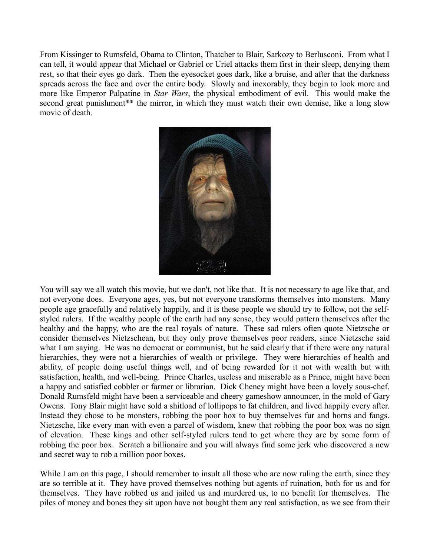From Kissinger to Rumsfeld, Obama to Clinton, Thatcher to Blair, Sarkozy to Berlusconi. From what I can tell, it would appear that Michael or Gabriel or Uriel attacks them first in their sleep, denying them rest, so that their eyes go dark. Then the eyesocket goes dark, like a bruise, and after that the darkness spreads across the face and over the entire body. Slowly and inexorably, they begin to look more and more like Emperor Palpatine in *Star Wars*, the physical embodiment of evil. This would make the second great punishment<sup>\*\*</sup> the mirror, in which they must watch their own demise, like a long slow movie of death.



You will say we all watch this movie, but we don't, not like that. It is not necessary to age like that, and not everyone does. Everyone ages, yes, but not everyone transforms themselves into monsters. Many people age gracefully and relatively happily, and it is these people we should try to follow, not the selfstyled rulers. If the wealthy people of the earth had any sense, they would pattern themselves after the healthy and the happy, who are the real royals of nature. These sad rulers often quote Nietzsche or consider themselves Nietzschean, but they only prove themselves poor readers, since Nietzsche said what I am saying. He was no democrat or communist, but he said clearly that if there were any natural hierarchies, they were not a hierarchies of wealth or privilege. They were hierarchies of health and ability, of people doing useful things well, and of being rewarded for it not with wealth but with satisfaction, health, and well-being. Prince Charles, useless and miserable as a Prince, might have been a happy and satisfied cobbler or farmer or librarian. Dick Cheney might have been a lovely sous-chef. Donald Rumsfeld might have been a serviceable and cheery gameshow announcer, in the mold of Gary Owens. Tony Blair might have sold a shitload of lollipops to fat children, and lived happily every after. Instead they chose to be monsters, robbing the poor box to buy themselves fur and horns and fangs. Nietzsche, like every man with even a parcel of wisdom, knew that robbing the poor box was no sign of elevation. These kings and other self-styled rulers tend to get where they are by some form of robbing the poor box. Scratch a billionaire and you will always find some jerk who discovered a new and secret way to rob a million poor boxes.

While I am on this page, I should remember to insult all those who are now ruling the earth, since they are so terrible at it. They have proved themselves nothing but agents of ruination, both for us and for themselves. They have robbed us and jailed us and murdered us, to no benefit for themselves. The piles of money and bones they sit upon have not bought them any real satisfaction, as we see from their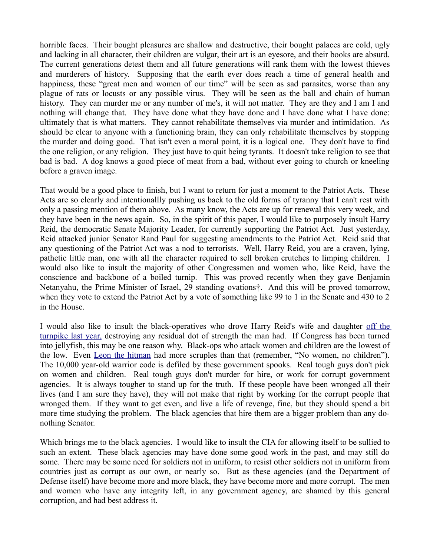horrible faces. Their bought pleasures are shallow and destructive, their bought palaces are cold, ugly and lacking in all character, their children are vulgar, their art is an eyesore, and their books are absurd. The current generations detest them and all future generations will rank them with the lowest thieves and murderers of history. Supposing that the earth ever does reach a time of general health and happiness, these "great men and women of our time" will be seen as sad parasites, worse than any plague of rats or locusts or any possible virus. They will be seen as the ball and chain of human history. They can murder me or any number of me's, it will not matter. They are they and I am I and nothing will change that. They have done what they have done and I have done what I have done: ultimately that is what matters. They cannot rehabilitate themselves via murder and intimidation. As should be clear to anyone with a functioning brain, they can only rehabilitate themselves by stopping the murder and doing good. That isn't even a moral point, it is a logical one. They don't have to find the one religion, or any religion. They just have to quit being tyrants. It doesn't take religion to see that bad is bad. A dog knows a good piece of meat from a bad, without ever going to church or kneeling before a graven image.

That would be a good place to finish, but I want to return for just a moment to the Patriot Acts. These Acts are so clearly and intentionallly pushing us back to the old forms of tyranny that I can't rest with only a passing mention of them above. As many know, the Acts are up for renewal this very week, and they have been in the news again. So, in the spirit of this paper, I would like to purposely insult Harry Reid, the democratic Senate Majority Leader, for currently supporting the Patriot Act. Just yesterday, Reid attacked junior Senator Rand Paul for suggesting amendments to the Patriot Act. Reid said that any questioning of the Patriot Act was a nod to terrorists. Well, Harry Reid, you are a craven, lying, pathetic little man, one with all the character required to sell broken crutches to limping children. I would also like to insult the majority of other Congressmen and women who, like Reid, have the conscience and backbone of a boiled turnip. This was proved recently when they gave Benjamin Netanyahu, the Prime Minister of Israel, 29 standing ovations†. And this will be proved tomorrow, when they vote to extend the Patriot Act by a vote of something like 99 to 1 in the Senate and 430 to 2 in the House.

I would also like to insult the black-operatives who drove Harry Reid's wife and daughter [off the](http://prescriptions.blogs.nytimes.com/2010/03/11/reids-wife-and-daughter-in-car-accident/) [turnpike last year,](http://prescriptions.blogs.nytimes.com/2010/03/11/reids-wife-and-daughter-in-car-accident/) destroying any residual dot of strength the man had. If Congress has been turned into jellyfish, this may be one reason why. Black-ops who attack women and children are the lowest of the low. Even [Leon the hitman](http://www.imdb.com/title/tt0110413/) had more scruples than that (remember, "No women, no children"). The 10,000 year-old warrior code is defiled by these government spooks. Real tough guys don't pick on women and children. Real tough guys don't murder for hire, or work for corrupt government agencies. It is always tougher to stand up for the truth. If these people have been wronged all their lives (and I am sure they have), they will not make that right by working for the corrupt people that wronged them. If they want to get even, and live a life of revenge, fine, but they should spend a bit more time studying the problem. The black agencies that hire them are a bigger problem than any donothing Senator.

Which brings me to the black agencies. I would like to insult the CIA for allowing itself to be sullied to such an extent. These black agencies may have done some good work in the past, and may still do some. There may be some need for soldiers not in uniform, to resist other soldiers not in uniform from countries just as corrupt as our own, or nearly so. But as these agencies (and the Department of Defense itself) have become more and more black, they have become more and more corrupt. The men and women who have any integrity left, in any government agency, are shamed by this general corruption, and had best address it.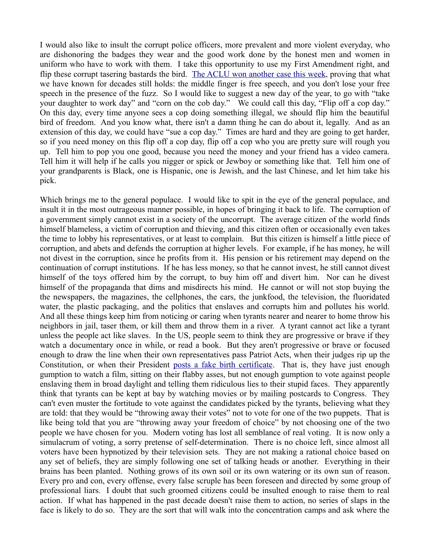I would also like to insult the corrupt police officers, more prevalent and more violent everyday, who are dishonoring the badges they wear and the good work done by the honest men and women in uniform who have to work with them. I take this opportunity to use my First Amendment right, and flip these corrupt tasering bastards the bird. [The ACLU won another case this week,](http://news.yahoo.com/s/ap/20110528/ap_on_re_us/us_aclu_hand_gesture;_ylt=AsOup2pwMAPmhNf7NPhY6As2PcB_;_ylu=X3oDMTNlOGEzdDFwBGFzc2V0A2FwLzIwMTEwNTI4L3VzX2FjbHVfaGFuZF9nZXN0dXJlBGNjb2RlA29mZmdtcHRvcDUwMHBvb2wEY3BvcwM4BHBvcwM4BHNlYwN5bl90b3Bfc3RvcmllcwRzbGsDY2FzZXVubGlrZWx5) proving that what we have known for decades still holds: the middle finger is free speech, and you don't lose your free speech in the presence of the fuzz. So I would like to suggest a new day of the year, to go with "take your daughter to work day" and "corn on the cob day." We could call this day, "Flip off a cop day." On this day, every time anyone sees a cop doing something illegal, we should flip him the beautiful bird of freedom. And you know what, there isn't a damn thing he can do about it, legally. And as an extension of this day, we could have "sue a cop day." Times are hard and they are going to get harder, so if you need money on this flip off a cop day, flip off a cop who you are pretty sure will rough you up. Tell him to pop you one good, because you need the money and your friend has a video camera. Tell him it will help if he calls you nigger or spick or Jewboy or something like that. Tell him one of your grandparents is Black, one is Hispanic, one is Jewish, and the last Chinese, and let him take his pick.

Which brings me to the general populace. I would like to spit in the eye of the general populace, and insult it in the most outrageous manner possible, in hopes of bringing it back to life. The corruption of a government simply cannot exist in a society of the uncorrupt. The average citizen of the world finds himself blameless, a victim of corruption and thieving, and this citizen often or occasionally even takes the time to lobby his representatives, or at least to complain. But this citizen is himself a little piece of corruption, and abets and defends the corruption at higher levels. For example, if he has money, he will not divest in the corruption, since he profits from it. His pension or his retirement may depend on the continuation of corrupt institutions. If he has less money, so that he cannot invest, he still cannot divest himself of the toys offered him by the corrupt, to buy him off and divert him. Nor can he divest himself of the propaganda that dims and misdirects his mind. He cannot or will not stop buying the the newspapers, the magazines, the cellphones, the cars, the junkfood, the television, the fluoridated water, the plastic packaging, and the politics that enslaves and corrupts him and pollutes his world. And all these things keep him from noticing or caring when tyrants nearer and nearer to home throw his neighbors in jail, taser them, or kill them and throw them in a river. A tyrant cannot act like a tyrant unless the people act like slaves. In the US, people seem to think they are progressive or brave if they watch a documentary once in while, or read a book. But they aren't progressive or brave or focused enough to draw the line when their own representatives pass Patriot Acts, when their judges rip up the Constitution, or when their President [posts a fake birth certificate.](http://www.youtube.com/watch?v=7s9StxsFllY) That is, they have just enough gumption to watch a film, sitting on their flabby asses, but not enough gumption to vote against people enslaving them in broad daylight and telling them ridiculous lies to their stupid faces. They apparently think that tyrants can be kept at bay by watching movies or by mailing postcards to Congress. They can't even muster the fortitude to vote against the candidates picked by the tyrants, believing what they are told: that they would be "throwing away their votes" not to vote for one of the two puppets. That is like being told that you are "throwing away your freedom of choice" by not choosing one of the two people we have chosen for you. Modern voting has lost all semblance of real voting. It is now only a simulacrum of voting, a sorry pretense of self-determination. There is no choice left, since almost all voters have been hypnotized by their television sets. They are not making a rational choice based on any set of beliefs, they are simply following one set of talking heads or another. Everything in their brains has been planted. Nothing grows of its own soil or its own watering or its own sun of reason. Every pro and con, every offense, every false scruple has been foreseen and directed by some group of professional liars. I doubt that such groomed citizens could be insulted enough to raise them to real action. If what has happened in the past decade doesn't raise them to action, no series of slaps in the face is likely to do so. They are the sort that will walk into the concentration camps and ask where the